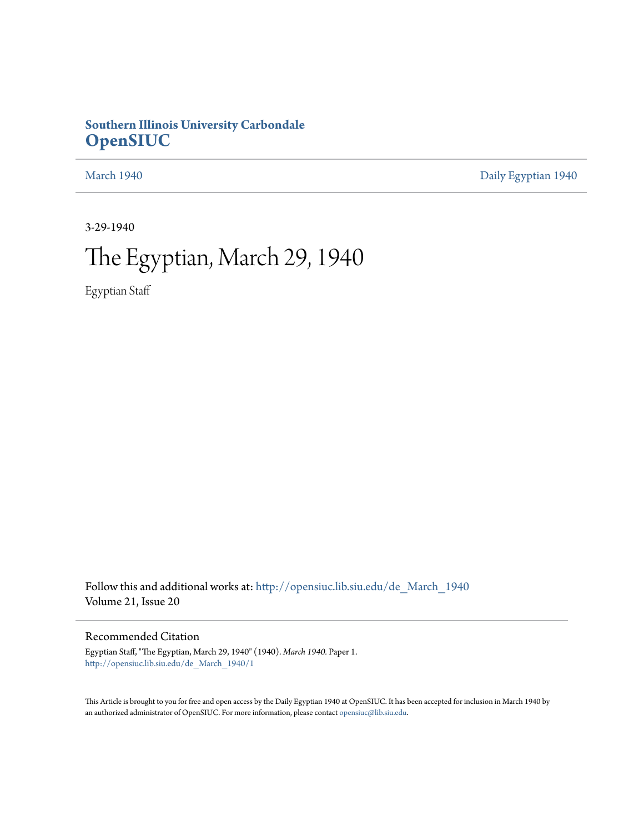## **Southern Illinois University Carbondale [OpenSIUC](http://opensiuc.lib.siu.edu?utm_source=opensiuc.lib.siu.edu%2Fde_March_1940%2F1&utm_medium=PDF&utm_campaign=PDFCoverPages)**

[March 1940](http://opensiuc.lib.siu.edu/de_March_1940?utm_source=opensiuc.lib.siu.edu%2Fde_March_1940%2F1&utm_medium=PDF&utm_campaign=PDFCoverPages) [Daily Egyptian 1940](http://opensiuc.lib.siu.edu/de_1940?utm_source=opensiuc.lib.siu.edu%2Fde_March_1940%2F1&utm_medium=PDF&utm_campaign=PDFCoverPages)

3-29-1940

# The Egyptian, March 29, 1940

Egyptian Staff

Follow this and additional works at: [http://opensiuc.lib.siu.edu/de\\_March\\_1940](http://opensiuc.lib.siu.edu/de_March_1940?utm_source=opensiuc.lib.siu.edu%2Fde_March_1940%2F1&utm_medium=PDF&utm_campaign=PDFCoverPages) Volume 21, Issue 20

### Recommended Citation

Egyptian Staff, "The Egyptian, March 29, 1940" (1940). *March 1940.* Paper 1. [http://opensiuc.lib.siu.edu/de\\_March\\_1940/1](http://opensiuc.lib.siu.edu/de_March_1940/1?utm_source=opensiuc.lib.siu.edu%2Fde_March_1940%2F1&utm_medium=PDF&utm_campaign=PDFCoverPages)

This Article is brought to you for free and open access by the Daily Egyptian 1940 at OpenSIUC. It has been accepted for inclusion in March 1940 by an authorized administrator of OpenSIUC. For more information, please contact [opensiuc@lib.siu.edu.](mailto:opensiuc@lib.siu.edu)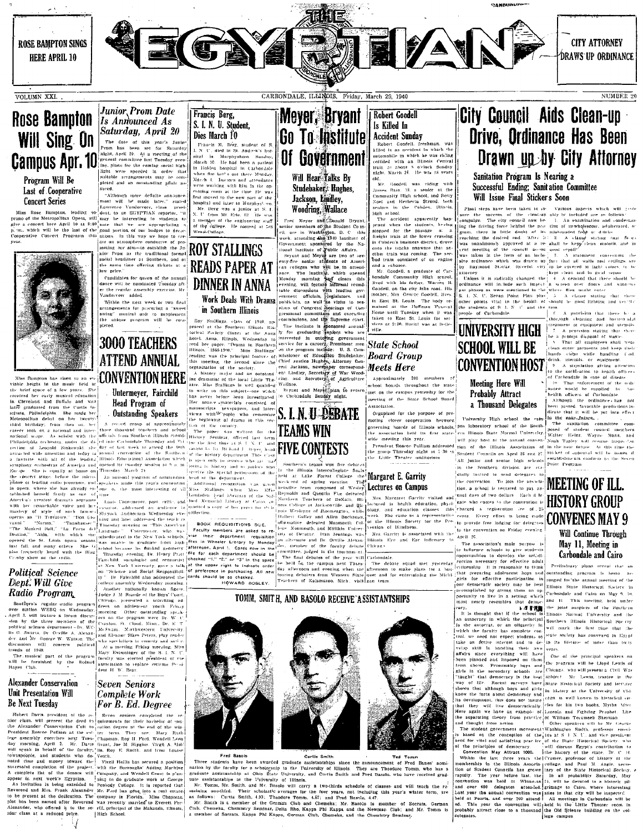

VOLUMN XXI.

## **Rose Bampton Will Sing On Campus Apr. 10**

#### Program Will Be Last of Cooperative **Concert Series**

**CORCET Series**<br> **EXECUTE:**<br> **EXECUTE:**<br> **EXECUTE:**<br> **EXECUTE:**<br> **EXECUTE:**<br> **EXECUTE:**<br> **EXECUTE:**<br> **EXECUTE:**<br> **EXECUTE:**<br> **EXECUTE:**<br> **EXECUTE:**<br> **EXECUTE:**<br> **EXECUTE:**<br> **EXECUTE:**<br> **EXECUTE:**<br> **EXECUTE:**<br> **EXECUTE:**<br>



**Example 10 Program**<br>
Southern's regular vadio program (There, press, and the contract of the contract of the line of the contract of the contract of the contract of the contract of the distribution of the contract of the

## Unit Presentation Will **Be Next Tuesday**

Hubert Davis, president of the se- Seven seniors completed the r

## **Junior Prom Date**<br>Is Announced As Francis Berg, S. I. N. U. Student. Saturday, April 20 Dies March 10 **EXECUTE AND A PTPLE 21**<br>The date of this year's Junior Prom has been set for Saturday<br>Prom has been set for Saturday<br>includes the contribution of the conduction<br>process from the coming set of the conduction<br>light were sp

**DIES INZICE II**<br>
Francis M. Refr. student of S.<br>
Francis II. Merry student of S.<br>
F. N. C. died in St. Andrew's hos-<br>
pital in Marphyshoron Standary<br>
Michelen hospital in Carbondale<br>
March 4. Leontons and directal<br>
March sres.<br>- "Although more definite announce hospital and later to Murphysl. wo.<br>Mr. Berg was a junior at S. J.<br>N. U. from Mt. Erie, Ill. He was



### Complete Work **For B. Ed. Degree**

Hubert Davis president of the ac-<br>
Howen seniors completed the re-<br>
from dense value of the depthement the detail of quirements for the incident<br>
of the description of the column of the incident of the value of the<br>
Presi

Meyer, Bryant **Go To Institute** Of Government

**Robert Goodell** 

**Accident Sunday** 

ACCIDENT DUINERY<br>
Robert Coodell. freshman, was<br>
Rilled in an accident in which the<br>
automobile in which he was ricking<br>
collided with an Illinois Central<br>
right. Marich 24. He was ris vears<br>
right. Marich 24. He was ris v

old.<br>Mr. Goodell was riding with<br>An senior at the

Mr. Coordell was riching with<br>particular and the constraints of the community High school, and Retty<br>Community High school, and Retty<br>school. Solution of the conduction of the conduction<br>shift arison.<br>The acceleration of

in Cobden's business district, drove onto the tracks unaware that an other train was coming. The sec bud train consisted of an engine bud train consisted of on engine<br>and a cabosse. Mr. Goodell, a graduate of Car-<br>hondale Community High spracel,<br>lived with his fatter, Warren B.<br>Goodell, on the city Jake road. His<br>former B.<br>mother, Mrs. Genreg Goodell, li

money, and the Huds. The holy remained at the Huds. The holy remained at the Huffman Panera<br>Home until Tuesday when it was taken to East St. Louis for set<br>vices at 2:30. Burial was at Belle

Approximately 200 members of chool boards throughout the state

neeting of the State School Board

Organized for the purpose of pro-

moting closer cooperation between moong coset cooperation between<br>governing boards of Hilinois schools,<br>the association held its first state-<br>wide meeting this year.

Is Killed In

Will Hear Talks Bv Studebaker: Hughes,<br>Jackson, Lindley,

met on the campus yesterday for the



Three students have been awarded graduate assistantialing since the announcement of Fred Baues' nomination by the faculty of the Tultversity of Blinds. They are Theodore Tomm, who has a graduate assistantialing at the Uni of Fred Banes'<br>re Tomm, who Three students have been awarded graduate accistantships sines the oppoun

## City Council Aids Clean-up **Drive, Ordinance Has Been** Drawn up by City Attorney

Sanitation Program Is Nearing a Successful Ending; Sanitation Committee Will Issue Final Stickers Soon

**Will ISSUe Final Sticker's Soon**<br>
Final sticker's Soon and the state which will took<br>
state the success of the identity and the political are as follows:<br>
Leading the divergence behind the political are as follows:<br>
Lead

The animals of S. E. S. P. and the long contains and hardconter and the contains of S. E. S. P. and the contains definition of experimental deviation of the stress of the stress of the stress of the stress of the stress of

establishments conform to th Point Program

**MEETING OF ILL.** 

Will Continue Through

May 11, Meeting in Carbondale and Cairo Preliminary plans reveal that an

outstanding program is being or

ranged for the annual meeting of the

Illinois State Historical Society in Carbondale and Cairo on May

been passed favorable predictions in<br>the particle of  $\sigma$ . different that it will be particular<br>formulation of  $\sigma$ . The manifold<br>committee committee of student committee possed of student committee possed<br>of the particle

University High school, the cam pus laboratory school of the South ern Illinois State Normal University. will nlay host at the annual conven-Free about 10 according and the set of the Hinois Association of<br>the group Thursday night at 7.30 m and the Hinois Association of<br>the Little Theater auditorium [Student Councils on April 25 and 27.<br>All luntos and santos hi All juntor and senior high schools in the Southern division are con-

dially invited to send delegates .<br>|the convention – To join the asswia tion, a school is required to pay an- $\frac{1}{1000}$  for consideration on  $\frac{1}{1000}$  (i.e. the convention on Friday evening).<br>Mrs. Carrier is associated with the convention on Friday evening

Hinois Eye and Ear Infirmary is April 26. Apple 28.<br>
(a) find association's main purpose is<br>
(a) influence schools to give students<br>
opportunities to develop the self-di-<br>
rection necessary for effective adult

citizenship It is reasonable to think<br>that preparing adolescent boys and for effective participation in airls for effective participation in<br>our democratic society may be best<br>accomplished by giving them an op-<br>portunity to live in a setting which portunity to live in a setting<br>most nearly resembles that portunity to live in a setting which and the most nearest the setting with the most nearest of the Southern and the point of the Southern and the school is little point of the Southern and the point of the school is littl

an automory in which the principal southern lilinois Historical Sorvey<br>
In the automory in of lyttich the fact that the first time that the<br>
lyttich increase and other in the state of the state of the state and<br>
increase and over 400 meters at the same of Larmage to Care, where murrels Last year the annual convention was sites in that city will be inspected at Peoris, and over 100 attends of the cluster of  $\sim$  0.1 The year the convention

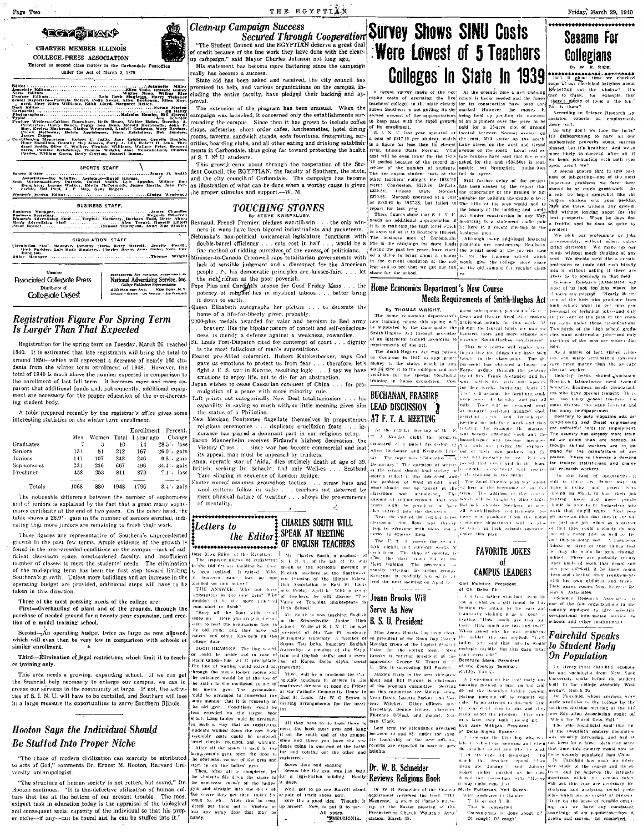## **TECNOTALY**

**CHARTER MEMBER ILLINOIS** COLLEGE PRESS ASSOCIATION Entered as second class matter in the Carbond under the Act of March 3, 1879.

Citen Telesanctic Miller (Eliter Telesanctic Miller)<br>Express Manus, Willert Guiler<br>Nayae Manus, William Rice<br>Net, Allen Buchnun, Farry Telesance, Allen Buchnun, Elites Map-<br>I, Margaret Relier. nare Euttors<br>| hole Reporters==Futricia Moreer, Maily Sv<br>| nara, Mory Elien Williams, Edith Lloyd<br>| ik Editor ion Busenbart, Brits, Welter Helm, Dorothy (and Schmidt Bauer, Peggy Lou Dean, Herold Horabonile, John F. Bauer, Peggy Lou Dean, Herold Horabonile, John F.<br>Melvin Mary, Westwood, Lendell Cockrum, Mary Bovines, Cladys<br>Melvi w. -<br>1 Mack<br>1 Mack mberton, Harry<br>137, Evelyn Mackross, Machine<br>2008, Holloway, Mac<br>1908, Cripps, Neporterum<br>1909, Hamiliton, Doro<br>1912 Smith, Olive C James Cripps.<br>19 March Schotzer: Hobert C. (2011s, Jane Crichton, Genelic<br>Hingthg, Menoliton, Dorothy May Aisless, Patty A. Lill, Robert H. Lill<br>durci Smith, Olive C. Walker, Virginia Williams, Wallace Pries.<br>Sters, Pasili SPORTS STAFF **Sports Editor M** Sold

Women's Sports Editor Gindys Westwoo **BUSINESS STAFF** 

**GIRCULATION STAFF** (Treulain Staff-Mangger, Darwiny Stark, Betry Meteall, Jenelle, Perrilli<br>Birth Barkley, David Starkten, Betry Meteall, Jenelle, Perrilli<br>Birth Barkley, David Starkten, Charles and American State Standard **Associated Collegiate Press National Advertising Service, Inc.**<br>National Advertising Service, Inc. 420 MADIBON AVE. NEW YORK.<br>CHICAGO . BOSTOR . LOS ANGELES . SAR FRA **Collegiale Digest** 

#### **Registration Figure For Spring Term** Is Larger Than That Expected

Registration for the spring term on Tuesday, March 26, reached 1840. It is estimated that late registrants will bring the total to around 1850-which will represent a decrease of nearly 100 students from the winter term enrollment of 1948. However, the total of 1840 is much above the number expected in comparison to the enrollment of last fall term. It becomes more and more apparent that additional funds and, subsequently, additional equipment are necessary for the proper education of the ever-increasing student body.

A table prepared recently by the registrar's office gives some interesting statistics on the winter term enrollment.

|            |      |       |      | Enrolment        | Percent. 1      |              |
|------------|------|-------|------|------------------|-----------------|--------------|
|            | Men  | Women |      | Total 1 year ago | Change          | B            |
| Graduates  |      | з     | 10   | 14               | 28.5'<br>loss   |              |
| Seniors    | 131  | 81    | 212  | 167              | $26.9'$ cain    |              |
| Juniors    | 141  | 107   | 248  | 246              | 0.8'.<br>gain   |              |
| Sophomores | 331  | 336   | 667  | 496              | 34.4'.<br>gain  | $\mathbf{B}$ |
| Freshmen   | 458  | 353   | 811  | 873              | $7.1'$ , $loss$ |              |
|            |      |       |      |                  |                 | Ľ            |
| Totals     | 1068 | 880   | 1948 | 1796             |                 |              |

The noticeable difference between the number of sophomore: and of juniors is explained by the fact that a great many sopho mores certificate at the end of two years. On the other hand, the table shows a 26.9'. gain in the number of seniors enrolled, indicating that more juniors are remaining to finish their work.

These figures are representative of Southern's unprecedented growth in the past few terms. Ample evidence of the growth is found in the over-crowded conditions on the campus-lack of sufficient classroom space, overburdened faculty, and insufficient<br>number of classes to meet the students' needs. The elimination of the mid-spring term has been the first step toward limiting Southern's growth. Unless more buildings and an increase in the operating budget are provided, additional steps will have to be taken in this direction.

Three of the most pressing needs of the college are:<br>First—Overhauling of plant and of the grounds, through the

purchase of needed ground for a twenty-year expansion, and cree tion of a model training school,

Sccond-An operating budget twice as large as now allowed, which will even then be very low in comparison with schools of cimilor enrollment. similar enrollment.

Third-Elimination of legal restrictions which limit it to teach er training only.

This area needs a growing, expanding school. If we can get the financial help necessary to enlarge our campus, we can increase our services to the community at large. If not, the activities of S. I. N. U. will have to be curtailed, and Southern will lose in a large measure its opportunities to serve Southern Illinois.

# **Hooton Says the Individual Should**

**Hooton Says the Individual Should<br>
Be Stuffed Into Proper Niche and Should<br>
Should<br>
Should such a second by set the back second is a result of the symme international state of the symme international order of the new off** 

**Clean-up Campaign Success** 

"The Student Council and the EGYPTIAN deserve a great deal of credit because of the fine work they have done with the cleanup campaign." said Mayor Charles Johnson not long ago.

THE EGYPTIAN

The calibration is a between the therma and the graphs of the calibration of the calibration of the calibration of the calibration of the calibration of the calibration of the calibration of the calibration of the calibra

the rich/richen as the poor poverish.<br>The rich/richen as the poor poverish.<br>The Pius and Cardinals unshoe for Good Friday Mass . . . the potency of religion lies in mystical taboos . . . better bring it down to earth.

Nuen Elizabeth autographs her picture ... to decorate the<br>home of a life-for-liberty giver, probably.

000-plus medals awarded for valor and heroism to Red army bravery, like the bipolar nature of conceit and self-conscious ness, is merely a defense against a weakness, cowardice. St. Louis Post-Dispatch cited for conternot of court . . . dignity

is the most fallacious of man's superstitions. .<br>Hearst pro-Allied columnist, Hubert Knickerbocker, says God gave us emotions to protect us from fear . . . therefore, let's

fight a U.S. war in Europe, resulting logic . . . I say we have<br>emotions to enjoy life, not to die for an abstraction. apan wishes to cease Caesarian conquest of China . . . for pro

mulgation of a peace with more minority rule. Faft points out categorically New Deal totalitarianism. his

capability in saying so much with so little meaning gives him the status of a Philistine. New Mexican Penitentes flagellate themselves in preposterous

religious ceremonies . . . duplicate crucifixion feats . . . in<br>norance has played a dominant part in our religious setup. ig aron Mannerheim receives Firtland's highest decoration, the

Victory Cross . . . since war has become commercial and lost its appeal, man must be appeased by trinkets.<br>nna, cperatic star of 'Aida,' dies untimely death at age of 39.

ritish. seeking Dr. Schacht, find only Well-es . . . Scotland Yard slipping in sequence of London Bridge. aster ounny' assumes groundhog tactics . . . straw hats and

wool mittens follow in wake ... teachers not deterred by mere physical nature of weather ... shows the pre-eminence of mentality.

Letters to

## the Editor SPEAK AT MEETING

**EXERCISE AND TO EXECUTE THE CONFIDENT REACTION**<br>
The impactivalence is expected on the Experiment of the change of the control of the control of the control of the control of the control of the state of the state of the lear Miss Editor of the Exyption: Mr. Charles South, a graduate

## mpaign Success Cooperation Survey Shows SINU Costs Were Lowest of 5 Teachers

#### Home Economics Department's New Course Meets Requirements of Smith-Hughes Act

**Ey THOMAS WRIGHT.** The house countering the particular in the second in the first of the second that the second that the second that the second that the second in the second in the second in the second in the second that

of an instructor trained according to inserting Smith-Hughes requirements<br>requirements of the act. This has now conner will entable grid-<br>properties the Smith-Hughes Act was passed to practice she things they have been<br>mo

Figure 1 to the colleges and unit Fracts conduct the posterior of the special vections (for of the Frank Alexander and his training in home economics. Conductive with five given by the collection of the collection (for  $\$ **BUCHANAN, FRASURE LEAD DISCUSSION** 

At the regular meeting of the P. <sup>194</sup>10 become assignant took and the state of a Monday inistic (P. A model in the program) hand-close assignant cook and the state of a path of discovering hand-close with become appears Service<br>will become now, paying the experiments<br>for kets, but The tuple was considered in the comparison of their case that is the comparison of the term in polaristic band in the comparison of where the latter that is the latter of the band of the band of the band of the band of th

discussion the floor was throught computes department will be also<br>spep to everyone with ideas and a to teach in high schools operating<br>deske to express them. The property of this plan

Now the place room 214 of the New York of the place room 214 of the New York of the programs and usually informal discussion groups

everyone is cordially invi ed need the next meeting on April 15 of Chi Delta Chi:

Joann Brooks Will Serve As New B. S. U. President

**S. U. President**<br>  $\begin{bmatrix}\n\text{B. S. U.} \\
\text{B. S. U.} \\
\text{M is a bound from the area of the A point.} \\
\text{M is a bound for the A point.} \\
\text{M is a bound for the A point.} \\
\text{M is a bound for the A point.} \\
\text{M is a bound for the A point.} \\
\text{M is a point of the B point.} \\
\text{M is a point of the B point.} \\
\text{M is a point of the B point.} \\
\text{M is a point of the B point.} \\
\text{M is a point of the B point.} \\
\text{M is a point of the B point.} \\
\text{M is a point of the B point.} \\
\$ 

of Debta Sopiya Epistor:<br>
Inter-to-show the HO-boy who wested when the tracket and<br>state the short of the said when the teacher and the model hand who is<br>
"Inter-to-short and the said of the said which the teacher" reput<br>

**REVIEWS Religious Book** the correction with the correction of the Euclidean Meric Container the temperature of the Container and the book of the United Matter of the Wales and Matter of the Container and the Container of

profession or trade and rush bindly<br>for the single properties of the single property to be opening<br>the trade-<br>Single professional control of the single property of the single<br>single property of the single change of the si In per cent of the jobs in the eorn try come under those classifications Two thirds of the high school graduthe minimum of the end of the same only one-than

one-third of the jobs are white<br>collar As a matter of fact, skilled labor-<br>as and many semi-skilled labor-<br>corn more money than the average<br>clerical worker.

Industry needs skilled workmen whichers. Business needs Steunographs.<br>The case of the partial training Theory<br>are too many system training Theory<br>are too many system training factors.<br>The many decrease too many increase to make the contract of<br>the contr

The country has aircady more train-<br>ed air pilots than are needed, aled air priots than are needed, all<br>though skilled workers are in de-<br>mand for the manufacture of air-<br>planes. There is likewise a demand<br>for trained statisticians and chemi-<br>cal research workers.

be this land of opportunity of In this limit of opportunity at the state of the state of the state of the state of the state of the state of the state of the state of the state of the state of the state of the state of the state of the state of the sta one of a dozen just as well as the<br>one they're doing now. A youngste due of a doore that as well as the dual theorem there is a more than the matrix of the matrix of the matrix of the matrix of the matrix of the matrix of weak of the matrix of weak of the matrix of the second set of the be

scare Research Associates in the Contract Control of the computations in the computational property of the scatter of the contract of the contract of the contract of the contract of the scatter of the scatter of the scatte

#### **Fairchild Speaks** to Student Body **On Population**

I'r. Henry Pratt Fairchild. econom

1 In them Pratt Fatter life, contour France<br>Ist and Scholopish from New York<br>University, spake before the student boots in the college assembly Wedge<br>used<br>as: large life of the college layer life in Fanchula. Wo<br>as service

The able sociologist said that un til the twentleth century population<br>was steadily increasing, and had it was steadily increasing, and had i<br>|not loven for a lower birth rate after platineers for a lawer sight rate after the<br>distribution of the sensity propulated than China lines dense<br>by populated than China lines and the Farcelian of the matrix<br> $\mathbf{r}$  and the reduced of the causar and its electr The some are so used to relate counting can we have any consistent<br>ling can we have any consistent<br>knowledge of our population—how it<br>grows and moves, he remarked,

**FAVORITE JOKES CAMPUS LEADERS** McIntire, President

 $\Lambda$  d ding tather who had

How much are two and two?

scarch Associates.

so can calculate a sufficient and the last<br>booking the arbitrary the ratio and booking the arbitrary the ratio and<br>transfer of the ratio and transfer arbitrary of the ratio and



Friday, March 29, 1940

**Sesame For** 

Collegians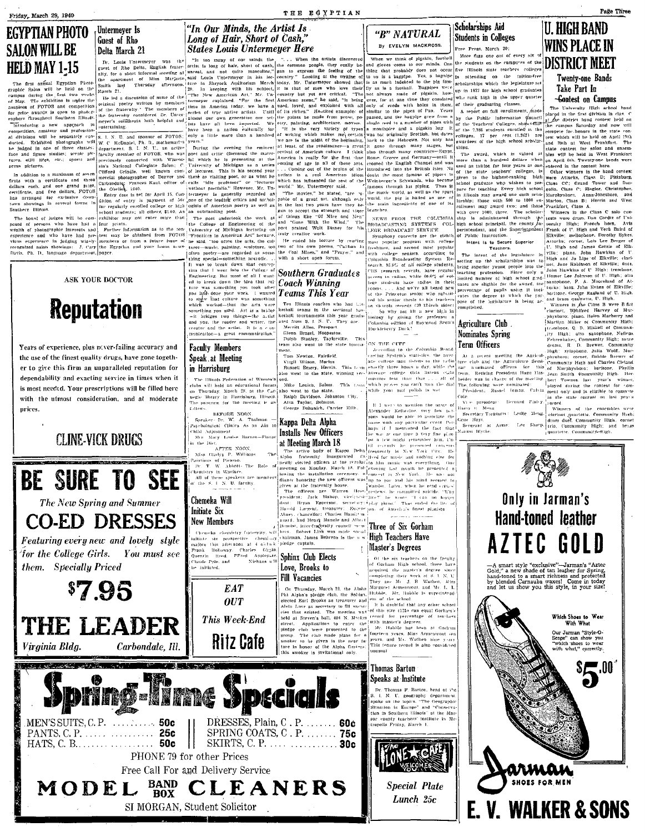# EGYPTIAN PHOTO **SALON WILL BE**

prices.

**Reputation** 

Years of experience, plus never-failing accuracy and

the use of the finest quality drugs, have gone togeth-

er to give this firm an unparalleled reputation for

dependability and exacting service in times when it

is most needed. Your prescriptions will be filled here

with the utmost consideration, and at moderate

**CLINE-VICK DRUGS** 

**BE SURE TO SEE** 

The New Spring and Summer

**CO-ED DRESSES** 

\$7.95

for the College Girls.

Virginia Bldg.

them. Specially Priced

### Untermever Is **Guest of Rho** Delta March 21

ed to break down the idea that rule<br>trave was something you took after<br>you had done your work. I wanted to subject that tenture was something<br>which worked—that the arts were<br>which worked—that the arts were<br>something you us **Faculty Members** 

### Speak at Meeting in Harrisburg

The illinois Federation of Women's The Himps Federation of Women's<br>risks will hold an educational forum<br>on Thursday, March 28, at the Car-<br>negic library in Barrishurg, Himps<br>The procram for the meeting is as fallows.

Elliaws.<br>BEFORE NOON.<br>Spraker: Dr. W. A. Thalman —<br>Psychological Clinics As an Ain to Child Adjustment tild Adjustment<br>
Mrs Mary Louise Barnos—Flavor<br>
the Diet.<br>
AFTER NOON.<br>
Miss Gladys P. Williams — The  $\mathbf{u}$ 

APTER NOON,<br>Miss Gladys P. Williams<br>Paintings of Picasso,<br>Dr. T. W. Abbott- The<br>Themistry in Warface, All of these speakers are mean<br>of the S. J. N. U. faculty.

### Chemeka Will Initiate Six

**Featuring every new and lovely style** majors this attenues...<br>Frank Holloway. Charles Glipm.<br>Quenth Reed. FFred Applegate.<br>- Side and - Nichaus will You must see



THE LEADER **Ritz Cafe** Carbondale, Ill.



#### "In Our Minds, the Artist Is Long of Hair, Short of Cash. **States Louis Untermeuer Here**

SALON WILL BE COMPUTE THE COMPUTER CONTINUES IN A CONFIDENT COMPUTER OF THE CONTINUES IN A CONFIDENT CONFIDENT COMPUTER OF THE CONFIDENT CONFIDENT CONFIDENT COMPUTER CONFIDENT CONFIDENT CONFIDENT CONFIDENT CONFIDENT CONFI

THE EGYPTIAN

# Teams This Year

Ten Illinois coaches who had kethall teams in the sectional has ketball tournaments this year graduated from S. J. N. C. They are:<br>Merritt Allen, Freeport.<br>Glenn Brasel, Hoopeaton.<br>Dolph Stanley, Taylorville. This<br>team also went to the tate tourna<br>ment.

eni.<br>Tom Newton, Fairfield. Virgil Wilson, Marion<br>Russell Emery, Herrin.  $T_{\rm{B}}\bar{t}_{\rm{N}}$ 

also went to the state, winning see .......<br>- Mike Lenich Salem, - This too

Mike Lehien, Satem. This 18<br>also went to the state.<br>Ralph Davidson, Johnston City.<br>Alva Taylor, Belmont.<br>George Dohanich, Carrier Mills.

## Kappa Delta Alpha Installs New Officers

**at Rieeting March 18** For the active body of Kappa Deta,  $\frac{1}{10}$  in a tew unight permeable hum. The active body of Kappa Deta,  $\frac{1}{10}$  is consistently in New York City. The linear formula in the presented of the ma

High Teachers Have

aker is invitational ouly

# Master's Degrees

Mr. Hubble has been at Corhran fourteen years, hiss Armentront or<br>fourteen years, hiss Armentront or<br>This tenure record is also considered .<br>ser to be given in the near fu<br>in honor of the Alpha Graters unusual

#### **Thomas Barton** Speaks at Institute

**Thomas F. Barton, head of the**<br>N. U. geography department spoke on the topics, "The Geographic<br>Situation in Europe" and "Conserva tion in Southern Illinois" at the Mas actually beathern through the case<br>actually teachers' institute in Me



**Special Plate** Lunch 25c

AZTEC GOLD

 $-A$  smart style "exclusive"—Jarman's "Aztec Gold," a new shade of tan leather for Spring, hand-toned to a smart richness and protected by blended Carnauba waxes! Come in today and let us show you this style, in your size!

Only in Jarman's

**Hand-toned leather** 



**WALKER & SONS** 



**-Gontest on Campus** 

**COURCEST ON CAMPUS**<br> **COURCEST** Trial achieves the property of the Category of the distribution of the campus Saturday and row will<br>
a compute Saturday and row will be extant only apply the campus Saturday and row will<br>
b

From materials to Secure Superior<br>
Intent is to Secure Superior<br>
Intent is to Secure Superior<br>
The intent of the legislature in  $\begin{pmatrix} 1 & 0 \\ 0 & 0 \end{pmatrix}$ . The intent of the legislature in  $\begin{pmatrix} 1 & 0 \\ 0 & 0 \end{pmatrix}$  is a mo

ecard.<br>Winners of the ensembles calle Means cannot matter community High.<br>Lee Sharp, dramatical Community High, comet<br>Lee Sharp, dramatical Community High, comet<br>quartetic, Community-High, and brass

A area of the contract the basic state of the latter of the contract of the latter of the contract term in the contract of the contract term of the contract term of the contract of the mediant problem with the contract of

-225

on mor circo

In the through many stages, but availables of the fight scribton structure. The fight is the total of the sched at the sched at the sched of the sched of the sched of the sched of the sched of the sched of the sched of th

ege students have radios in their rooms.... And we're all beard men<br>of the Princeton endor who subusited in Section relations for the<br>state red his senior the state in this fractions on viewed red in the<br>subusited in the suburble in the prince of the subu

ON THE CUFF<br>coording to the Columbia Bonad-<br>coording System's statistics, the aver-<br>ace college man listens to the radio<br>exactly three homes a day, while the

Hanold Largent, treasurer: Engene on of America's finest planists Three of Six Gorham

Scholarships Aid "R" NATURAL **Students in Colleges** By EVELYN MACKROSS.

-<br>Free Press, March 20:

Extrans of C. High and Yorothy Sykes.<br>
Bikville: mellophone, Dorothy Sykes.<br>
Attacks; cornet, Lois Lee Berger of [U. High and James Getzie of Elk-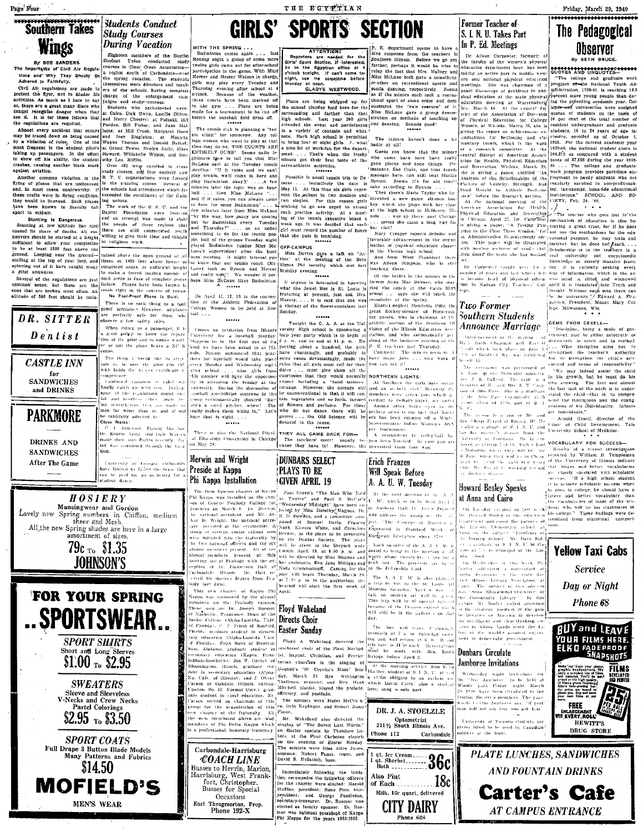Page Four

#### **Southern Takes Students Conduct Study Courses Wings During Vacation**

By BOB SANDERS.<br>Importance of Civil Air Regula

**For the main of Carolina and Schultz (State 1916)** State of the mortgrades of Civil Air Regulate Contract Clear Creek Association-<br>tions and Why They Shoutj Se late spring vacuutos. Clear and teach the studies over the s **and the common violation**. Studies is the latter in the control of the common violation is the particular and the common violation is the latter of phosibility the common violation is the latter of phosibility in the com

Several of the regulations are just<br>common' sense, but these are the<br>ones that are broken most often. An<br>altitude of 500 feet should be main-

DR. SITTER  $D$  entist *CASTLE INN* for ompetence **SANDWICHES** and DRINKS **PARKMORE** DRINKS AND **SANDWICHES** tion After The Game







Eighteen members of the Baptist<br>Student Union conducted study<br>courses in Ciear Creek Association-Badminton comes again Monday night a group of some more Monday might a group of some more more<br>proposed in the group of the second participation in the game. With Mitzt<br>activity and Heater Watson in charge, the second in the group<br>of the state of the second in the second inter

tefore the baseball field dries off.

The tensis club is planning a "ten-<br>labe club is planning a "ten-<br>lage women who want to play at that<br> $\limsup_{n \to \infty} a_n$  where COPRTS ARE<br>(There may do so; THE COPRTS ARE EVITABLY OURS) worst that Miss<br>platning there is to t meeting: "If it rains and we can't<br>play tennis, we'll come in here and

WITH THE SPRING

such areas in ease of complete power<br>failure. Planes have been known to<br>crash right in the centers of towns<br>No Fool-Proof Plane Is Built. On April 11, 12, 13 is the convention of the Athletic Federation of<br>College Women to be held at Normal..... There is no such thing as a fool

are perfectly safe for those<br>observe a few safety rules.  $w<sub>h</sub>$ state....<br>
Comes an invitation from Illinois versity High school is sponsoring a vision of the Southern of the Southern Comes and invitation from Illinois Equation (and the state of the Southern Comes and the state of the When riding as a passenger, it is now the repatition of the pilot and to notice whether or not the plane bears a NC 1 The thing I would like to stre now is, he sure the plint you rid<br>with holds the proper certificate t Continued violation of rules w. Continued visitation of rates with the polarity of the real state of the real of the real of the real of the polarity of the polarity of the state of the state of the state of the matter of the form of the state of the sta

hope that is right. . .<br>\*\*\*\*\*\* There is also the National Physical Education Convention in Chicago<br>on May 24. tle, Eugene Long and Dale Warle ing was continued through the vi-

#### Merwin and Wright Preside at Kappa Phi Kappa Installation

Florida), C. P. Priest of Sanford eraduate student in elemen **Cylobiologiche Care** 

For the contract solution of the state of the state of the state of the contract of the contract of the state of the state of the state of the state of the state of the state of the state of the state of the state of the

Carbondale-Harrisburg

**COACH LINE** Busses to Herrin, Marion,<br>Harrisburg, West Frank-<br>fort, Christopher. Busses for Special Occasions Earl Throgmorton, Prop<br>Phone 192-X

last

THE ECYPTIAN

**GIRLS' SPORTS SECTION** 

attended the evolutional weakers and what is a strength of the star-<br>in a variety of contents and what is a street that the minors haven't done a bit<br>to bring four or eight girls. J. what is but is the test of the star-<br>in

Possible is usual tennis trip to De <sup>manan</sup>ger here, can still best Marian catur ... tentatively the date is Byrum. Seems it's for old limetimes at the state according to Byrum ... the state of the state according to Byrum

From hockgreen necessary and the control of Homeometrical control in the section of the Scatthern Di

Finds that lightle must call for their you are it?<br>
This that gives the must call for their yound normally NORTHERN LIGHTS:<br>
converse including a "hand tailors" at Northern the circle consideration<br>
converse the consider cording to DeKaib paper, are not ern has been running off a Win-Interconceptor Indian Women's

THEY ALL CAME BACK FOR-<br>
THEY ALL CAME OF SURFAINING THEY ALL CAME OF THE RECEIVED THE RECEIVED THE RECEIVED THE RECEIVED THE RECEIVED THE RECEIVED THE COME OF THE RECEIVED THE RECEIVED THE RECEIVED THE RECEIVED THE SURFAI

**DUNBARS SELECT PLAYS TO BE GIVEN APRIL 19** 

**Phi Kappa Installation (GIVEN APRIL 19 E.** A. **A.** U. W., Tuesday (Phi Kappa Installation (Figure 16 Kappa Installation (Figure 16 Kappa Installation (Figure 16 Kappa Installation (Figure 16 Kappa Installation (Figure

# Easter Sunday

Floyd A. Wakeland directed the

Mr. Wakeland also directed the<br>singing of "The Seven Last Words."<br>an Easter cantata by Theodore Da-<br>bois, at the First Christian church<br>on the evening of Easter Sunday.

The soloists were hiss Alice Johns. soprano: Robert Faner.<br>David S. Meintosh, bass. Immediately following the initia

tion ceremonies the following officers<br>for the chapter were elected: Harold<br>Huffine, president; Rene Pino, vicenumer, presenter. Tene Pino, vice-<br>president: and George Pendicton.<br>Secretary-treasurer. Dr. Roemer was<br>inter was national president of Kappa<br>Phi Kappa for the years 1933-1935.

Former Teacher of S. I. N. U. Takes Part In P. Ed. Meetings department seems to have

**Example 12** For the latter tend for the line response from the tendence of the factor of the compact of the compact of the compact of the compact of the same spectral and the state of the state of the state of the state ushing an active part in middle west. COVOTES AND UNCLOTED—The and graduate work<br>form and actional physical education  $^{10}$ The college and graduate work<br>panel discussions of problems in a program of—the balacking and Tou

#### Two Former Southern Students **Announce Marriage**

The receivency was performed at convinct and sense of responsibility<br>of the behind of the Medicine of the Medicine of the Bold Schule of A. Particle of Medicine of Medicine of the Schule<br>of A. R. Particle The Light is a p are more factor sion of Mr.

som is a som of Mr. and  $\frac{dx}{dx}$  and transmissions.<br>Terminol Research defined a state of the scaling to  $x \in \mathbb{R}$ . Arnold Research defined as stated to  $x \in \mathbb{R}$ . The Clinter of Child Development, Yale stated the con Th. akarda, where they will live **Site** and the second the second second second second second second second second second second second second second second second second second second second second second second second second second second second second second is doctor's degree

#### Howard Bosley Speaks at Anna and Cairo

On Tarsday evening of jast week-dents  $\alpha$  are assessed the patrons of the subset of the subject. "Problems of the subject. "Problems of Monern School. Mr. Basil Boli  $\begin{array}{lll} \text{~~and~~or~~} \texttt{5.~L/N}, \text{~U,~in~the}\\ \text{of~} \text{~V3.~is~principal~of~the~Lin}\\ \text{~cloud.} \end{array}$ 

Cip. Wednesday or the atre Community Library  $1<sub>n</sub>$  $-1181$ Mr. Bosh v called attention

o the strategic position of the public libraries of America in develop on positives of America are<br>seen in Mose hands rests due<br>seus in Mose hands rests de<br>ture of the world's groatest expectancy

#### Dunbars Circulate Jamboree Invitations

Wednesday night invitations - Wednesday - might - invitations - followed - "Juve - Jamhovee" - to be held - at<br>Moods" - jark - Friday - might - March<br>9, 1940 - bave been circulated to the<br>multar - Society's members - The pas This Jamharre are. man will not ask you, you ask him



of Physical Education for College 10 per cent of this total number of the per cent of the top in the spectros a absentuate and graduate and graduate control and the energy tends of the top is a simple three per control in

Friday, March 29, 1940 ......................

The Pedagogical

Ubserver

By BETH BRUCE

**IRROURCE MATTIAGE**  $\left[\begin{array}{c} \text{GEMS} & \text{FROM GSELL--} \\ \text{Mmetric} & \text{the kinetic energy} \\ \text{Mmetric} & \text{the kinetic energy} \\ \text{d} & \text{the effective energy} \\ \text{d} & \text{the effective energy} \\ \text{d} & \text{the effective energy} \\ \text{d} & \text{the effective energy} \\ \text{d} & \text{the effective energy} \\ \text{d} & \text{the effective energy} \\ \text{d} & \text{the effective energy} \\ \text{d} & \text{the effective energy} \\ \text{d} & \text{the effective energy} \\ \text{d} & \text{the effective energy} \\ \text$ GEMS FROM GESELL-

are individuals,"

VOCABULARY FOR SUCCESS<br>
The interaction of a recent investigation<br>
reported by William D. Templeman<br>
(of the University of dimons indicate<br>
(but binger and better vocabularies<br>
(a) clousely revalised with scholarite<br>
(a)

**y** Speaks  $\frac{1}{2}$  is to achieve scholastic success when<br>  $\frac{1}{2}$  and  $\frac{1}{2}$  are not object and better vocabularly than<br>  $\frac{1}{2}$  and  $\frac{1}{2}$  is verify due to the state of the state<br>  $\frac{1}{2}$  can an  $\frac{1}{2}$  w

## **Yellow Taxi Cabs Service** Day or Night Phone 68



**Carter's Cafe** 

**AT CAMPUS ENTRANCE** 

Will Sneak Before A. A. U. W. Tuesdav

jobs ... nice work

iven pais which

Erich Franzen!

The bus will have Cabern<br>promptly at 7 a, m Saturday no<br>ing and will return at 6 for R. .<br>trip tare is \$1.50 each. Reservatio .<br>. Rom

qt. Ice Cream......<br>qt. Sherbet........ qt. Sherbet........<br>Both ............. Also Pint of Each  $18c$ 

Milk, 10c quart, delivered

**CITY DAIRY** 

Phone 608



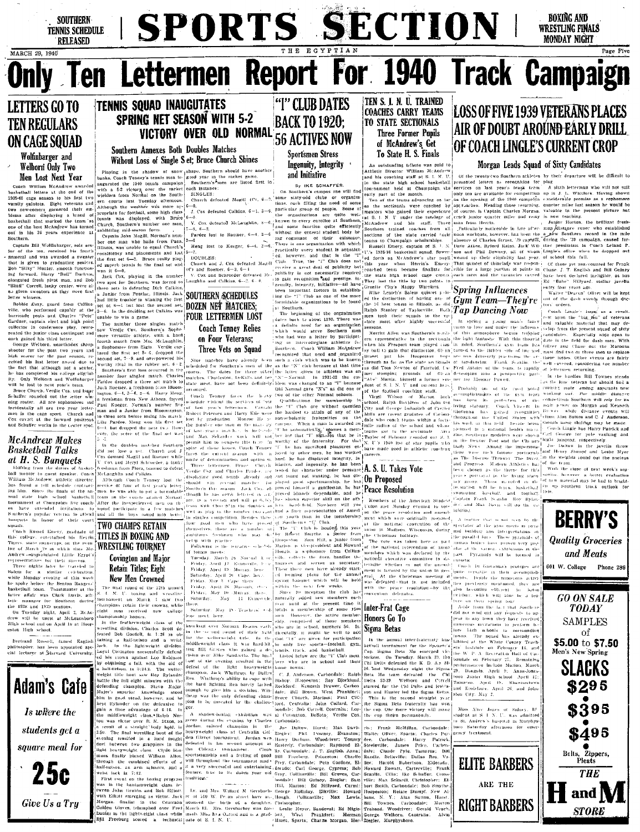

s fact that although not a senior,<br>thas completed his college eligibil-Welborn and Wolfinbarger ny wendin and woman.<br>Jost to nave wear's tour

the lost to next year's team.<br>The Church Certain Cast and Islam the computed out the setter which<br>the rounded out the setter which the setter process and the setter<br>presentally all are two year letter-<br>principal are two ye

#### **McAndrew Makes Basketball Talks** at H. S. Banquets

**AL II. D. DUITYCES**<br>Shifting from the duties of basks<br>hall menter to guest speaker. Concentration Millian McAudrew, athletic direct<br>mins found a 1stil schedule controot ing him. Since the finals of the number suruament at Champaign five coach- After the inexperienced men on the<br>s - have - extended - invitations - to squad participate in a few matches<br>- nuthern's popular veterals to attend and all the boys cound into bette; five coach anquets in honor of their court

he spoke hefore the Benton Rangers'<br>has spoke hefore the Benton Rangers'<br>basketball team. Toustmaster at the

manager for Southern<br>1938 and 1939 seasons. ducto-1938 and 1939 seasons.<br>Tuesday night, April 2, McAr-<br>will be unest at McLeansboro<br>school and on April 10 at Hoop-

iriga senom and or<br>uston -High -school Bertrand Russell, famed Englis

philosopher, has been appointed spe<br>cial lecturer at Harvard University



Give Us a Tru

**SOUTHERN SCHEDULES DOZEN NET MATCHES:** 

**FOUR LETTERMEN LOST Coach Tenney Relies** on Four Veterans: Three Vets on Squad

ing the company of the company of the company of the company of the company of the company of the company of the company of the company of the company of the company of the company of the company of the company of the comp d for Southern's near of the an<br>The dates for three other it<br>Charleston DeKalls and tee ". worthy rival in the runow set, we isotrentied for Southern's first base for three offs and handler sets and the runow and runow of number four singles match. Charles imatches, Charleston, DeKalb, and handler priori priori Tardee dropped a three sevents or restate thee<br>Juck Boemer, a freshman from Bloom [arranged.  $\Gamma_{\text{Oach}} = \tau_{\text{no-iso}}$ 

Tardoe droppe...<br>
Juack Roemer, a freshman noon.<br>
hugton, 6-4, 3-6, 2-6.<br>
largon, 6-4, 3-6, 2-6.<br>
largon New Atheas, forced<br>
paint Roger, Normal's number five<br>
paint Roger, Normal's martin and a Junior from Bioomnagion.<br> to three sets before insign its mutuality of the Pardee. Meng won his first set 5-1, but dropped the next two How-perce, the score of the final set was [ or are goubles matches Southern period unit to compete this term in word<br>did not lose a set. Church and J spite of these losses, Coach Tenney "f" is<br>Cost downed Magill and Roemer while  $\left|\sum_{n=0, n\leq n}^{n}$  and  $\left|\sum_{n=0, n$ 

So downed Magill und Romer while more thermal and the control of the solution of the solution of Derival and California (Control of the Solution of Derival Control (Control of the Control of the Control of the Control of t

on the courts against Normal

romowns is one crossis and her transfer and her transfer to the state of the state of the state of the state of the state of the state of the state of the state of the state of the state of the state of the state of the st

Saturday. May .ur.a). ur.e.<br>| H. Evansvele

Saturday. May 18 (Teachers' 4 (a) [totals a membership of some 1500 **[Inter-Frat Cage**<br>
legs meet, here comman Reams well. [abuve members] the active members **Honors Co** To<br>
know kout over Numan Reams well. [which are in .<br>Roma kontransone Normon (1922-2022) and to

Libbert Peteroen and lines of a stadium of The are witness of the consequent of Mariot held (on the complete consequent of the complete of the consequent of the complete of the consequent of the complete of the consequent

or research the membership ment with the mention<br>on s off Club.<br>The s off Club and the method of the method of the search club and method of the christmas spectator at the gym greets is need mion or on spectator at the gym metric of p The "T Chab is headed this year moon in Madison, Wisconsin, during and both<br>the T Chab is headed this year moon the Christians holders.<br>However, the parallel state is the control of Handel and Marina is<br>of Marina is super These suman hodies have been

wile, colverts the dues, handles the particular<br>functional executive committee to descript the function in the function<br>of the model of the model (see the constraints in the model of the model)<br>of the model of the model o c<br>6 Or Giovanna's proteg accomplish versatile in their accomplist<br>- Beside the numerous activ the **1** becoming efficient in bator<br>ne, which will also be a tea

When a common

on their spring logr<br>on their spring logr<br>de from the last that

Recreation

ARE THE

in any town

ets' lastitute on February e<br>Correll starred for the Chi Delts and Robin-

efferender Change in the base Michline Rea larving in the based of the change in the continue the change of the based of the based of the change and the particle in the continue of the Change and the change in the Change

Ed. "Babe" Hillyara, stenar yerrese<br>entry foar years ago.<br>"Walter "Dearon" Oliver will be kept<br>ant of the dash events through doc-

tors orders.<br>Coach Lingle's hope, as a result.<br>Fest upon the "big\_gen" of veterans<br>and valuable material that may deivelop from the present squad of sixty Experience in part of mento esperante o:<br>is the Sold for duch with ist lind two or three men to<br>PBP losses. Other events a<br>H covered, considering the<br>lettermen returning.

as the long-scaling Downer steads and the long-stead of the gym team of the decomposition of the gym team of the module distance perfection of the experiment of the module of the particular Couple (Fig. ) that is the modu Coach Lingle has Harry Patrick and

esposp con compare un pole rap ag the impersonal Jue Dalt  $10<sup>2</sup>$ in the weights round Modern Athletics has

been chosen as the theme for this the close of next weeks store<br>however a better evaluation<br>material may be laid to bright years portiaval in the living starm- $\sim$   $\sim$   $\sim$   $\sim$ er en 1990 en 1990.<br>The end and the Child up Southern track outlook



TWO CHAMPS RETAIN Suidant Based Energy, graduate of WO CHAMPS RETAIN Case is a contract the set of March of the set of March and the set of March and the set of March and the set of March and the set of March and the set of March and the se Covington and Major

The final round of the 13th annual<br>
L. L. N. U. boxing and wrestling<br>
continument on March 4 saw two hampions retain their crowns, while dght man received new college<br>dumpionship-honors. incomposition and consistent class of the

In the fracther<br>weight class of the same of the system of the fraction of the fraction<br> $\mathbf{a}$  and  $\mathbf{a}$  and  $\mathbf{a}$  and<br> $\mathbf{a}$  and  $\mathbf{a}$  and  $\mathbf{a}$  and<br> $\mathbf{a}$  and  $\mathbf{a}$  and  $\mathbf{a}$  are included in the<br>m saw Roy Rylande the fall eight minutes with the defending champion. Steve Major actuarus caempica, crece mage.<br>Major's superior, knowledge, stood

and and the second

Saturday, May 18 - Teachers' Col-*<u>Contain</u>* lege meet, here.

.<br>Sloopestan

Saturday, April 20. Cape, here. Friday, May 3. Cane there Friday, April 26, Macomb, 1965<br>Friday, April 26, Macomb, 1965<br>Friday, May 10, Murray, thete,

The<br>in non-Alike control that events coulded in the access the are in section<br>of the contribution of the contribution of the large scale of the large scale<br>of the section of the control of the California of the control of

until at the present time it Inter-Frat Cage

In the aimed inter-frateroity list

performances include Marion.<br>29. Dongola, April 9: Ann igna i 29. Dongola, April 9; Anaa-Jones<br>Chi | boro Junior thgh school April 12;<br>Triell | Tama-on. April 19, Shawneetown<br>2<sup>62</sup>1 | and Eosiclarte, April 26, and John<sup>61</sup><br>| 19<sup>26</sup> | and Eosiclarte, April 26, and John ston City, May 2.